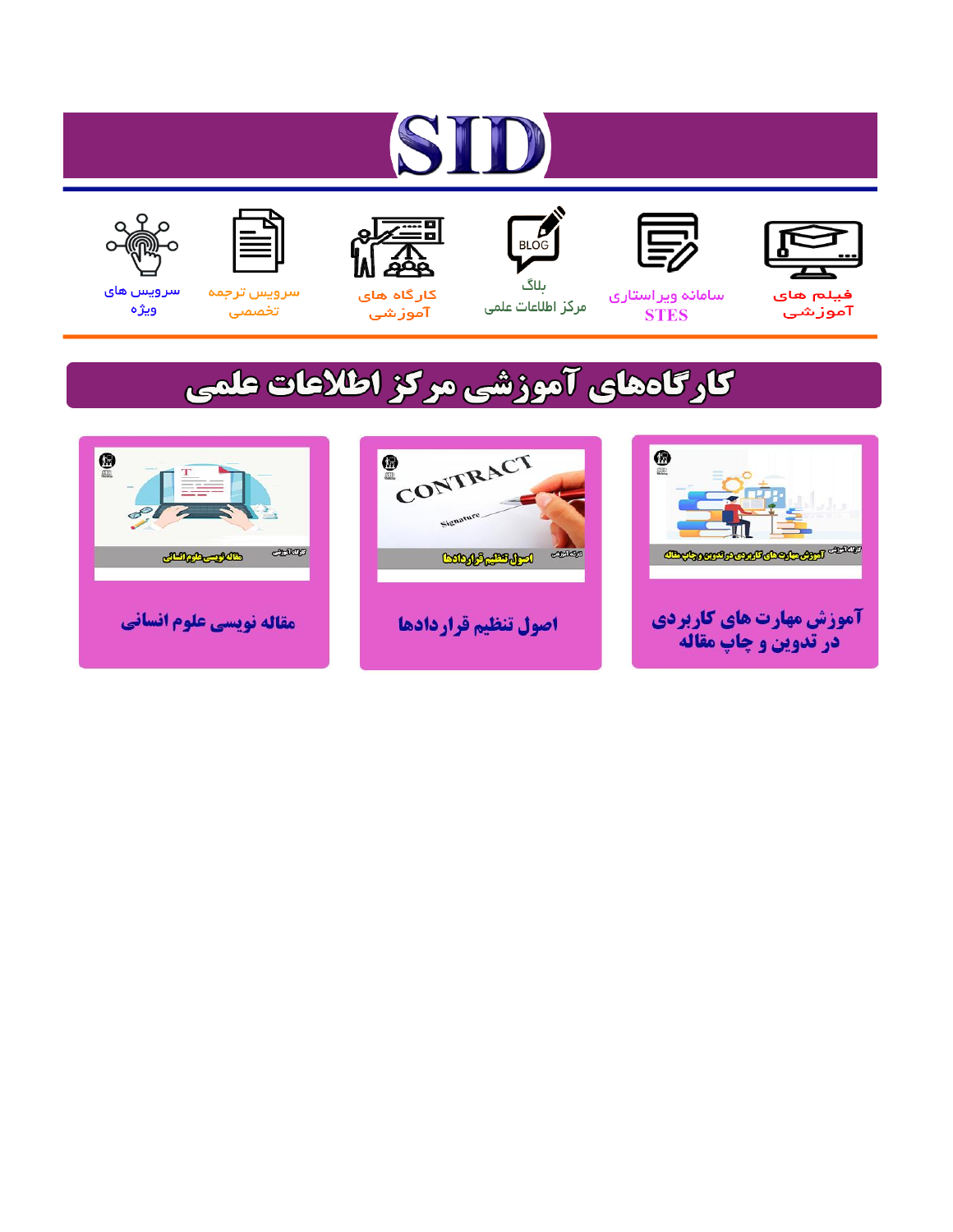# ST











مرکز اطلاعات علمی

 $\frac{1}{\sqrt{\frac{1}{100}}}$ ىلاگ



آموزشي

空

سرويس ترجمه تخصصى



سرویس های ويژه

## كارگاههای آموزشی مركز اطلاعات علمی





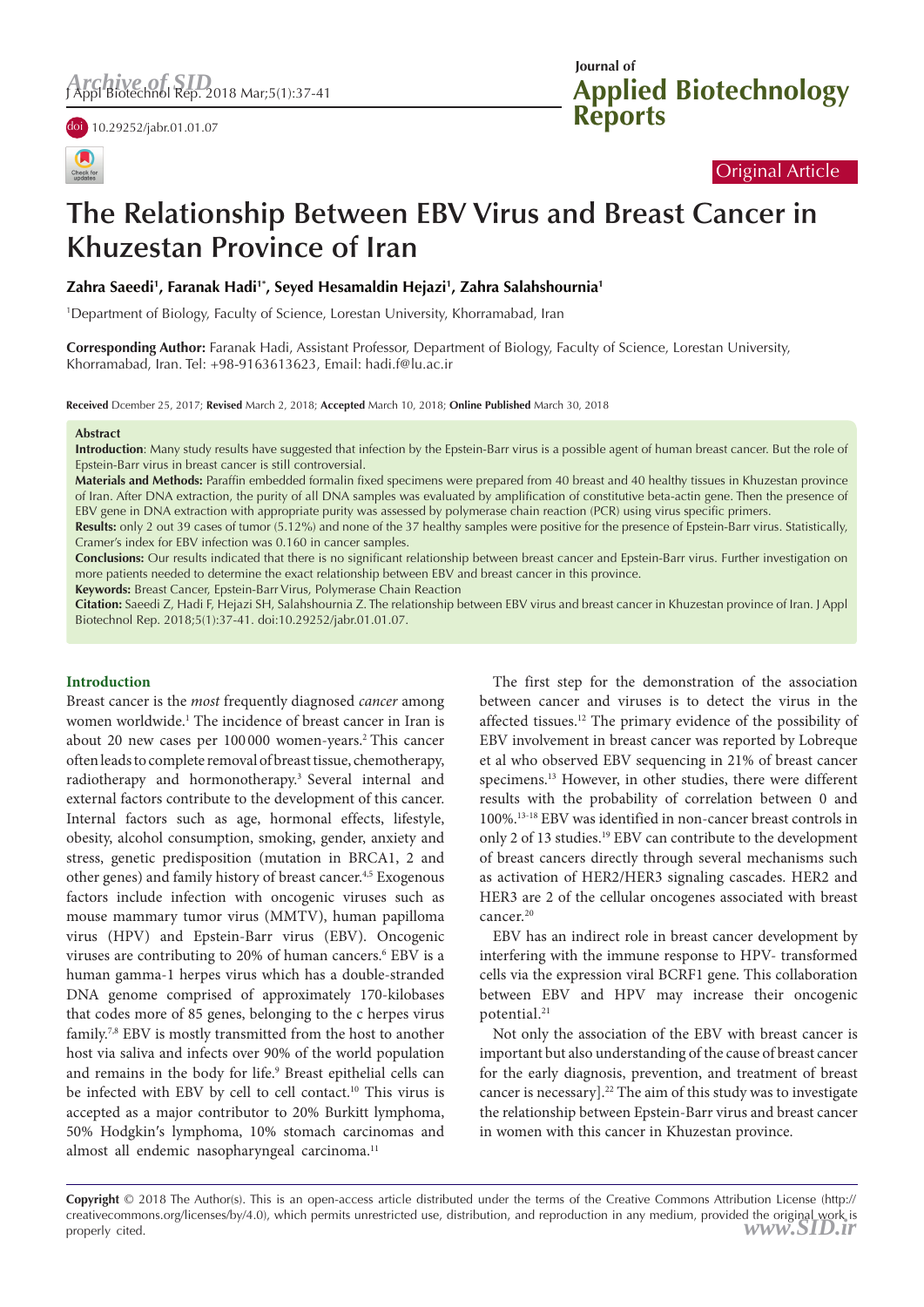

#### Original Article

### **The Relationship Between EBV Virus and Breast Cancer in Khuzestan Province of Iran**

#### **Zahra Saeedi1 , Faranak Hadi1\*, Seyed Hesamaldin Hejazi1 , Zahra Salahshournia1**

1 Department of Biology, Faculty of Science, Lorestan University, Khorramabad, Iran

**Corresponding Author:** Faranak Hadi, Assistant Professor, Department of Biology, Faculty of Science, Lorestan University, Khorramabad, Iran. Tel: +98-9163613623, Email: hadi.f@lu.ac.ir

**Received** Dcember 25, 2017; **Revised** March 2, 2018; **Accepted** March 10, 2018; **Online Published** March 30, 2018

#### **Abstract**

**Introduction**: Many study results have suggested that infection by the Epstein-Barr virus is a possible agent of human breast cancer. But the role of Epstein-Barr virus in breast cancer is still controversial.

**Materials and Methods:** Paraffin embedded formalin fixed specimens were prepared from 40 breast and 40 healthy tissues in Khuzestan province of Iran. After DNA extraction, the purity of all DNA samples was evaluated by amplification of constitutive beta-actin gene. Then the presence of EBV gene in DNA extraction with appropriate purity was assessed by polymerase chain reaction (PCR) using virus specific primers.

**Results:** only 2 out 39 cases of tumor (5.12%) and none of the 37 healthy samples were positive for the presence of Epstein-Barr virus. Statistically, Cramer's index for EBV infection was 0.160 in cancer samples.

**Conclusions:** Our results indicated that there is no significant relationship between breast cancer and Epstein-Barr virus. Further investigation on more patients needed to determine the exact relationship between EBV and breast cancer in this province.

**Keywords:** Breast Cancer, Epstein-Barr Virus, Polymerase Chain Reaction

**Citation:** Saeedi Z, Hadi F, Hejazi SH, Salahshournia Z. The relationship between EBV virus and breast cancer in Khuzestan province of Iran. J Appl Biotechnol Rep. 2018;5(1):37-41. doi:10.29252/jabr.01.01.07.

#### **Introduction**

Breast cancer is the *most* frequently diagnosed *cancer* among women worldwide.<sup>1</sup> The incidence of breast cancer in Iran is about 20 new cases per 100000 women-years.<sup>2</sup> This cancer often leads to complete removal of breast tissue, chemotherapy, radiotherapy and hormonotherapy.<sup>3</sup> Several internal and external factors contribute to the development of this cancer. Internal factors such as age, hormonal effects, lifestyle, obesity, alcohol consumption, smoking, gender, anxiety and stress, genetic predisposition (mutation in BRCA1, 2 and other genes) and family history of breast cancer.<sup>4,5</sup> Exogenous factors include infection with oncogenic viruses such as mouse mammary tumor virus (MMTV), human papilloma virus (HPV) and Epstein-Barr virus (EBV). Oncogenic viruses are contributing to 20% of human cancers.<sup>6</sup> EBV is a human gamma-1 herpes virus which has a double-stranded DNA genome comprised of approximately 170-kilobases that codes more of 85 genes, belonging to the c herpes virus family.7,8 EBV is mostly transmitted from the host to another host via saliva and infects over 90% of the world population and remains in the body for life.<sup>9</sup> Breast epithelial cells can be infected with EBV by cell to cell contact.<sup>10</sup> This virus is accepted as a major contributor to 20% Burkitt lymphoma, 50% Hodgkin′s lymphoma, 10% stomach carcinomas and almost all endemic nasopharyngeal carcinoma.<sup>11</sup>

The first step for the demonstration of the association between cancer and viruses is to detect the virus in the affected tissues.12 The primary evidence of the possibility of EBV involvement in breast cancer was reported by Lobreque et al who observed EBV sequencing in 21% of breast cancer specimens.13 However, in other studies, there were different results with the probability of correlation between 0 and 100%.13-18 EBV was identified in non-cancer breast controls in only 2 of 13 studies.<sup>19</sup> EBV can contribute to the development of breast cancers directly through several mechanisms such as activation of HER2/HER3 signaling cascades. HER2 and HER3 are 2 of the cellular oncogenes associated with breast cancer.<sup>20</sup>

EBV has an indirect role in breast cancer development by interfering with the immune response to HPV- transformed cells via the expression viral BCRF1 gene. This collaboration between EBV and HPV may increase their oncogenic potential.<sup>21</sup>

Not only the association of the EBV with breast cancer is important but also understanding of the cause of breast cancer for the early diagnosis, prevention, and treatment of breast cancer is necessary].<sup>22</sup> The aim of this study was to investigate the relationship between Epstein-Barr virus and breast cancer in women with this cancer in Khuzestan province.

**Copyright** © 2018 The Author(s). This is an open-access article distributed under the terms of the Creative Commons Attribution License (http:// creativecommons.org/licenses/by/4.0), which permits unrestricted use, distribution, and reproduction in any medium, provided the original work is properly cited. *[www.SID.ir](http://www.SId.ir)*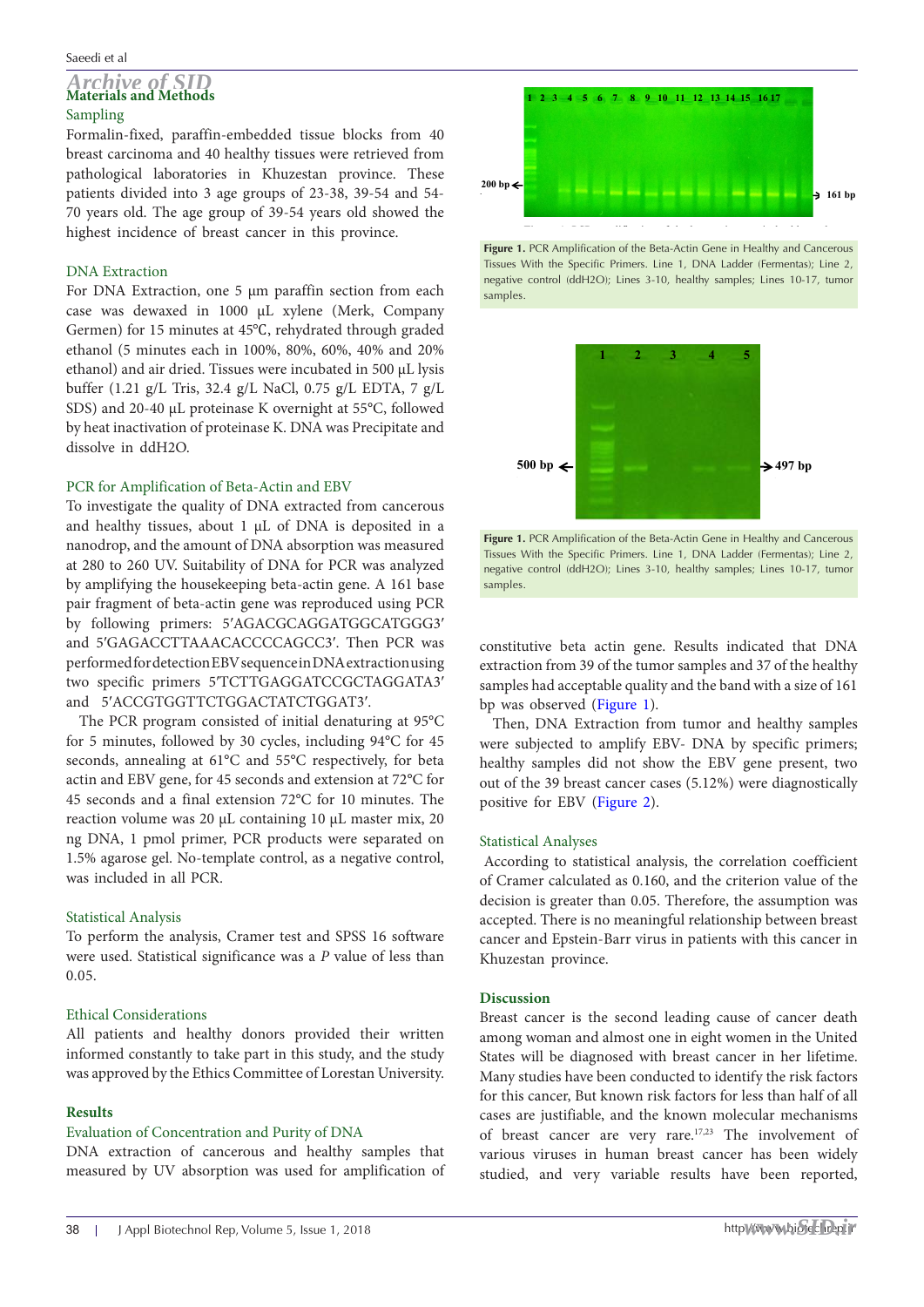#### *Archive of SID* **Materials and Methods** Sampling

Formalin-fixed, paraffin-embedded tissue blocks from 40 breast carcinoma and 40 healthy tissues were retrieved from  $\blacksquare$ pathological laboratories in Khuzestan province. These patients divided into 3 age groups of 23-38, 39-54 and 54- 70 years old. The age group of 39-54 years old showed the highest incidence of breast cancer in this province.

bp

#### DNA Extraction

For DNA Extraction, one 5 μm paraffin section from each case was dewaxed in 1000 μL xylene (Merk, Company Germen) for 15 minutes at 45℃, rehydrated through graded ethanol (5 minutes each in 100%, 80%, 60%, 40% and 20% ethanol) and air dried. Tissues were incubated in 500 μL lysis buffer (1.21 g/L Tris, 32.4 g/L NaCl, 0.75 g/L EDTA, 7 g/L SDS) and 20-40 μL proteinase K overnight at 55°C, followed by heat inactivation of proteinase K. DNA was Precipitate and dissolve in ddH2O.

#### PCR for Amplification of Beta-Actin and EBV

To investigate the quality of DNA extracted from cancerous and healthy tissues, about 1 μL of DNA is deposited in a nanodrop, and the amount of DNA absorption was measured at 280 to 260 UV. Suitability of DNA for PCR was analyzed by amplifying the housekeeping beta-actin gene. A 161 base pair fragment of beta-actin gene was reproduced using PCR by following primers: 5′AGACGCAGGATGGCATGGG3′ and 5′GAGACCTTAAACACCCCAGCC3′. Then PCR was performed for detection EBV sequence in DNA extraction using two specific primers 5′TCTTGAGGATCCGCTAGGATA3′ and 5′ACCGTGGTTCTGGACTATCTGGAT3′.  $\lim_{s \to \infty} P \subset \mathbb{R}$ 

The PCR program consisted of initial denaturing at 95°C for 5 minutes, followed by 30 cycles, including 94°C for 45 seconds, annealing at 61°C and 55°C respectively, for beta actin and EBV gene, for 45 seconds and extension at 72°C for 45 seconds and a final extension 72°C for 10 minutes. The reaction volume was 20 μL containing 10 μL master mix, 20 ng DNA, 1 pmol primer, PCR products were separated on 1.5% agarose gel. No-template control, as a negative control, was included in all PCR.

#### Statistical Analysis

To perform the analysis, Cramer test and SPSS 16 software were used. Statistical significance was a *P* value of less than 0.05.

#### Ethical Considerations

All patients and healthy donors provided their written informed constantly to take part in this study, and the study was approved by the Ethics Committee of Lorestan University.

#### **Results**

#### Evaluation of Concentration and Purity of DNA

DNA extraction of cancerous and healthy samples that measured by UV absorption was used for amplification of



**161 bp**





**Fig. 2:** PCR amplification of the EBV virus gene in healthy and cancerous tissues with the specific **Fig. 2: Alternation of the EBV virus generalises** with the specific rimers: EIRC 1, BYVY cadder (rememali), cancern cancer respect to regative control (ddH2O); Lines 3-10, healthy samples; Lines 10-17, tumor  $p_1$  and  $p_2$  and  $p_3$  and  $p_4$  and  $p_5$  and  $p_6$  and  $p_7$  positive control; Line 3, negative control; Line 3, negative control; Line 3, negative control; Line 3, negative control; Line 3, negative control; Line 3, Figure 1. PCR Amplification of the Beta-Actin Gene in Healthy and Cancerous Tissues With the Specific Primers. Line 1, DNA Ladder (Fermentas); Line 2, samples.

constitutive beta actin gene. Results indicated that DNA extraction from 39 of the tumor samples and 37 of the healthy samples had acceptable quality and the band with a size of 161 bp was observed (Figure 1).

Then, DNA Extraction from tumor and healthy samples were subjected to amplify EBV- DNA by specific primers; healthy samples did not show the EBV gene present, two out of the 39 breast cancer cases (5.12%) were diagnostically positive for EBV (Figure 2).

#### Statistical Analyses

According to statistical analysis, the correlation coefficient of Cramer calculated as 0.160, and the criterion value of the decision is greater than 0.05. Therefore, the assumption was accepted. There is no meaningful relationship between breast cancer and Epstein-Barr virus in patients with this cancer in Khuzestan province.

#### **Discussion**

Breast cancer is the second leading cause of cancer death among woman and almost one in eight women in the United States will be diagnosed with breast cancer in her lifetime. Many studies have been conducted to identify the risk factors for this cancer, But known risk factors for less than half of all cases are justifiable, and the known molecular mechanisms of breast cancer are very rare.17,23 The involvement of various viruses in human breast cancer has been widely studied, and very variable results have been reported,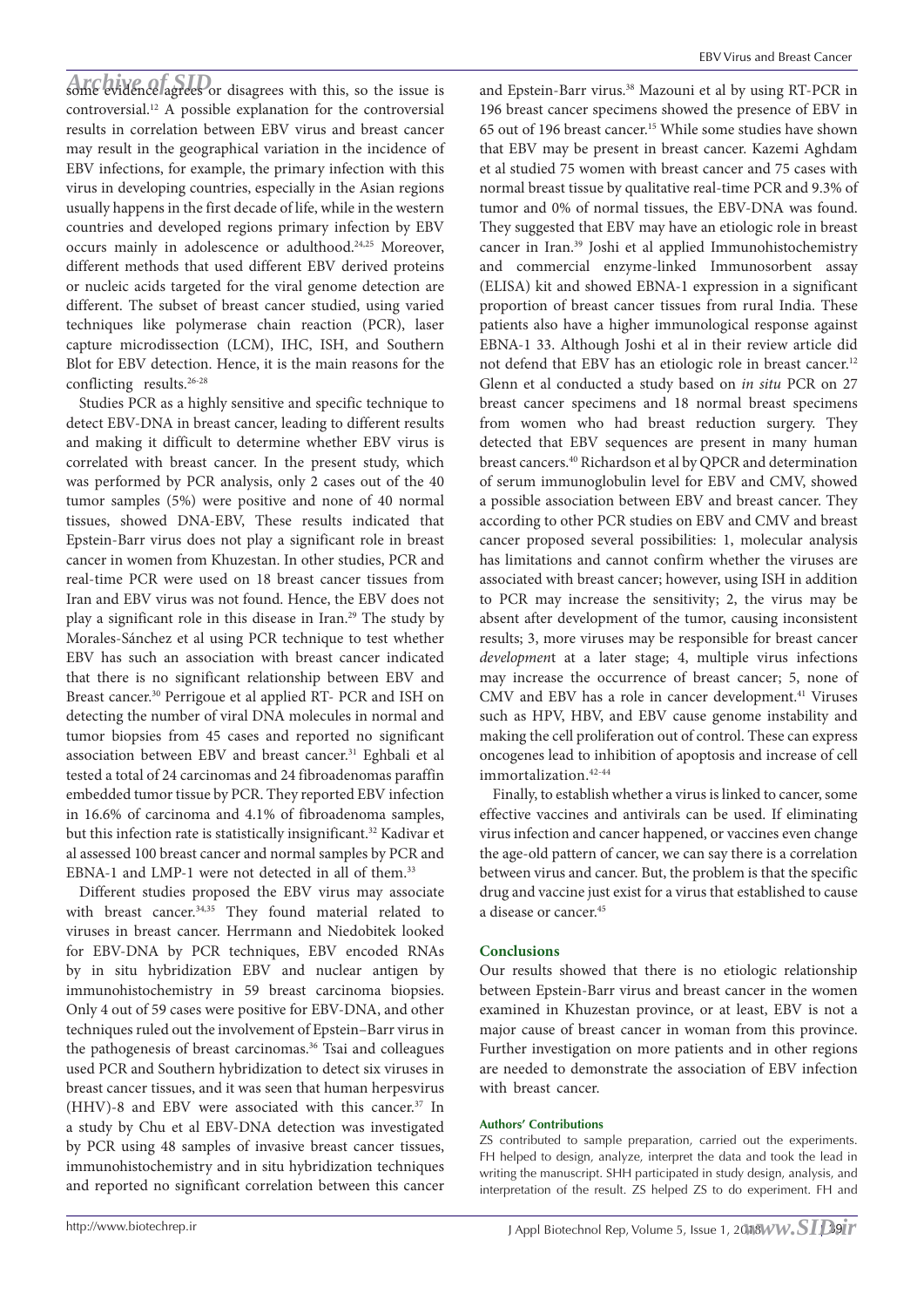*Archive evidence agrees* or disagrees with this, so the issue is controversial.12 A possible explanation for the controversial results in correlation between EBV virus and breast cancer may result in the geographical variation in the incidence of EBV infections, for example, the primary infection with this virus in developing countries, especially in the Asian regions usually happens in the first decade of life, while in the western countries and developed regions primary infection by EBV occurs mainly in adolescence or adulthood.24,25 Moreover, different methods that used different EBV derived proteins or nucleic acids targeted for the viral genome detection are different. The subset of breast cancer studied, using varied techniques like polymerase chain reaction (PCR), laser capture microdissection (LCM), IHC, ISH, and Southern Blot for EBV detection. Hence, it is the main reasons for the conflicting results.<sup>26-28</sup>

Studies PCR as a highly sensitive and specific technique to detect EBV-DNA in breast cancer, leading to different results and making it difficult to determine whether EBV virus is correlated with breast cancer. In the present study, which was performed by PCR analysis, only 2 cases out of the 40 tumor samples (5%) were positive and none of 40 normal tissues, showed DNA-EBV, These results indicated that Epstein-Barr virus does not play a significant role in breast cancer in women from Khuzestan. In other studies, PCR and real-time PCR were used on 18 breast cancer tissues from Iran and EBV virus was not found. Hence, the EBV does not play a significant role in this disease in Iran.29 The study by Morales-Sánchez et al using PCR technique to test whether EBV has such an association with breast cancer indicated that there is no significant relationship between EBV and Breast cancer.30 Perrigoue et al applied RT- PCR and ISH on detecting the number of viral DNA molecules in normal and tumor biopsies from 45 cases and reported no significant association between EBV and breast cancer.<sup>31</sup> Eghbali et al tested a total of 24 carcinomas and 24 fibroadenomas paraffin embedded tumor tissue by PCR. They reported EBV infection in 16.6% of carcinoma and 4.1% of fibroadenoma samples, but this infection rate is statistically insignificant.<sup>32</sup> Kadivar et al assessed 100 breast cancer and normal samples by PCR and EBNA-1 and LMP-1 were not detected in all of them.<sup>33</sup>

Different studies proposed the EBV virus may associate with breast cancer.<sup>34,35</sup> They found material related to viruses in breast cancer. Herrmann and Niedobitek looked for EBV-DNA by PCR techniques, EBV encoded RNAs by in situ hybridization EBV and nuclear antigen by immunohistochemistry in 59 breast carcinoma biopsies. Only 4 out of 59 cases were positive for EBV-DNA, and other techniques ruled out the involvement of Epstein–Barr virus in the pathogenesis of breast carcinomas.<sup>36</sup> Tsai and colleagues used PCR and Southern hybridization to detect six viruses in breast cancer tissues, and it was seen that human herpesvirus (HHV)-8 and EBV were associated with this cancer.37 In a study by Chu et al EBV-DNA detection was investigated by PCR using 48 samples of invasive breast cancer tissues, immunohistochemistry and in situ hybridization techniques and reported no significant correlation between this cancer

and Epstein-Barr virus.<sup>38</sup> Mazouni et al by using RT-PCR in 196 breast cancer specimens showed the presence of EBV in 65 out of 196 breast cancer.15 While some studies have shown that EBV may be present in breast cancer. Kazemi Aghdam et al studied 75 women with breast cancer and 75 cases with normal breast tissue by qualitative real-time PCR and 9.3% of tumor and 0% of normal tissues, the EBV-DNA was found. They suggested that EBV may have an etiologic role in breast cancer in Iran.39 Joshi et al applied Immunohistochemistry and commercial enzyme-linked Immunosorbent assay (ELISA) kit and showed EBNA-1 expression in a significant proportion of breast cancer tissues from rural India. These patients also have a higher immunological response against EBNA-1 33. Although Joshi et al in their review article did not defend that EBV has an etiologic role in breast cancer.<sup>12</sup> Glenn et al conducted a study based on *in situ* PCR on 27 breast cancer specimens and 18 normal breast specimens from women who had breast reduction surgery. They detected that EBV sequences are present in many human breast cancers.<sup>40</sup> Richardson et al by QPCR and determination of serum immunoglobulin level for EBV and CMV, showed a possible association between EBV and breast cancer. They according to other PCR studies on EBV and CMV and breast cancer proposed several possibilities: 1, molecular analysis has limitations and cannot confirm whether the viruses are associated with breast cancer; however, using ISH in addition to PCR may increase the sensitivity; 2, the virus may be absent after development of the tumor, causing inconsistent results; 3, more viruses may be responsible for breast cancer *developmen*t at a later stage; 4, multiple virus infections may increase the occurrence of breast cancer; 5, none of CMV and EBV has a role in cancer development.<sup>41</sup> Viruses such as HPV, HBV, and EBV cause genome instability and making the cell proliferation out of control. These can express oncogenes lead to inhibition of apoptosis and increase of cell immortalization.<sup>42-44</sup>

Finally, to establish whether a virus is linked to cancer, some effective vaccines and antivirals can be used. If eliminating virus infection and cancer happened, or vaccines even change the age-old pattern of cancer, we can say there is a correlation between virus and cancer. But, the problem is that the specific drug and vaccine just exist for a virus that established to cause a disease or cancer.45

#### **Conclusions**

Our results showed that there is no etiologic relationship between Epstein-Barr virus and breast cancer in the women examined in Khuzestan province, or at least, EBV is not a major cause of breast cancer in woman from this province. Further investigation on more patients and in other regions are needed to demonstrate the association of EBV infection with breast cancer.

#### **Authors' Contributions**

ZS contributed to sample preparation, carried out the experiments. FH helped to design, analyze, interpret the data and took the lead in writing the manuscript. SHH participated in study design, analysis, and interpretation of the result. ZS helped ZS to do experiment. FH and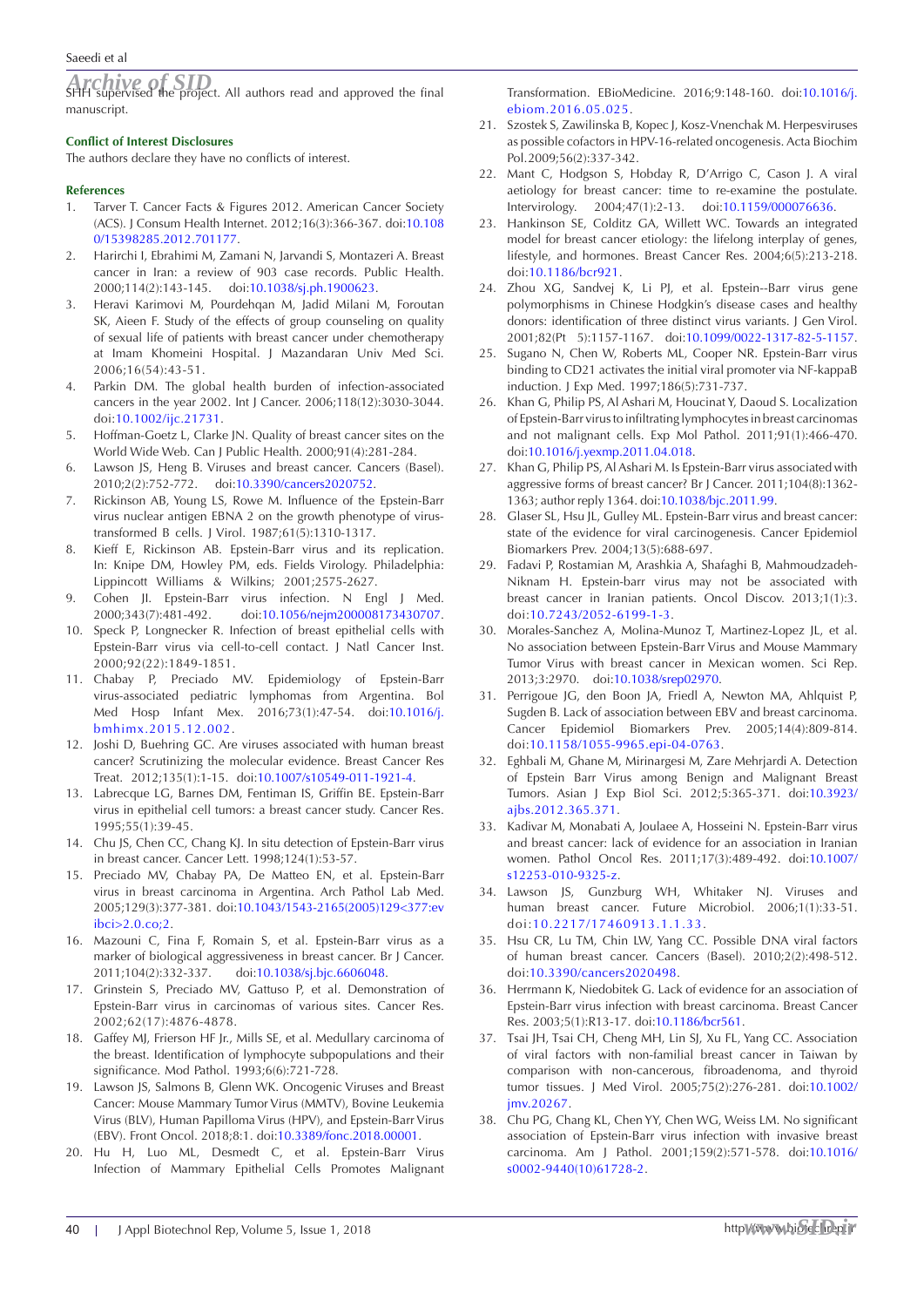*Archive of SID* SHH supervised the project. All authors read and approved the final manuscript.

#### **Conflict of Interest Disclosures**

The authors declare they have no conflicts of interest.

#### **References**

- 1. Tarver T. Cancer Facts & Figures 2012. American Cancer Society (ACS). J Consum Health Internet. 2012;16(3):366-367. doi:[10.108](https://doi.org/10.1080/15398285.2012.701177) [0/15398285.2012.701177.](https://doi.org/10.1080/15398285.2012.701177)
- 2. Harirchi I, Ebrahimi M, Zamani N, Jarvandi S, Montazeri A. Breast cancer in Iran: a review of 903 case records. Public Health. 2000;114(2):143-145. doi:[10.1038/sj.ph.1900623.](https://doi.org/10.1038/sj.ph.1900623)
- 3. Heravi Karimovi M, Pourdehqan M, Jadid Milani M, Foroutan SK, Aieen F. Study of the effects of group counseling on quality of sexual life of patients with breast cancer under chemotherapy at Imam Khomeini Hospital. J Mazandaran Univ Med Sci. 2006;16(54):43-51.
- 4. Parkin DM. The global health burden of infection-associated cancers in the year 2002. Int J Cancer. 2006;118(12):3030-3044. doi:[10.1002/ijc.21731](https://doi.org/10.1002/ijc.21731).
- 5. Hoffman-Goetz L, Clarke JN. Quality of breast cancer sites on the World Wide Web. Can J Public Health. 2000;91(4):281-284.
- 6. Lawson JS, Heng B. Viruses and breast cancer. Cancers (Basel). 2010;2(2):752-772. doi:[10.3390/cancers2020752](https://doi.org/10.3390/cancers2020752).
- 7. Rickinson AB, Young LS, Rowe M. Influence of the Epstein-Barr virus nuclear antigen EBNA 2 on the growth phenotype of virustransformed B cells. J Virol. 1987;61(5):1310-1317.
- 8. Kieff E, Rickinson AB. Epstein-Barr virus and its replication. In: Knipe DM, Howley PM, eds. Fields Virology. Philadelphia: Lippincott Williams & Wilkins; 2001;2575-2627.
- 9. Cohen JI. Epstein-Barr virus infection. N Engl J Med. 2000;343(7):481-492. doi:[10.1056/nejm200008173430707](https://doi.org/10.1056/nejm200008173430707).
- 10. Speck P, Longnecker R. Infection of breast epithelial cells with Epstein-Barr virus via cell-to-cell contact. J Natl Cancer Inst. 2000;92(22):1849-1851.
- 11. Chabay P, Preciado MV. Epidemiology of Epstein-Barr virus-associated pediatric lymphomas from Argentina. Bol Med Hosp Infant Mex. 2016;73(1):47-54. doi:[10.1016/j.](https://doi.org/10.1016/j.bmhimx.2015.12.002) [bmhimx.2015.12.002](https://doi.org/10.1016/j.bmhimx.2015.12.002).
- 12. Joshi D, Buehring GC. Are viruses associated with human breast cancer? Scrutinizing the molecular evidence. Breast Cancer Res Treat. 2012;135(1):1-15. doi:[10.1007/s10549-011-1921-4.](https://doi.org/10.1007/s10549-011-1921-4)
- 13. Labrecque LG, Barnes DM, Fentiman IS, Griffin BE. Epstein-Barr virus in epithelial cell tumors: a breast cancer study. Cancer Res. 1995;55(1):39-45.
- 14. Chu JS, Chen CC, Chang KJ. In situ detection of Epstein-Barr virus in breast cancer. Cancer Lett. 1998;124(1):53-57.
- 15. Preciado MV, Chabay PA, De Matteo EN, et al. Epstein-Barr virus in breast carcinoma in Argentina. Arch Pathol Lab Med. 2005;129(3):377-381. doi:[10.1043/1543-2165\(2005\)129<377:ev](https://doi.org/10.1043/1543-2165(2005)129%3c377:evibci%3e2.0.co;2) [ibci>2.0.co;2.](https://doi.org/10.1043/1543-2165(2005)129%3c377:evibci%3e2.0.co;2)
- 16. Mazouni C, Fina F, Romain S, et al. Epstein-Barr virus as a marker of biological aggressiveness in breast cancer. Br J Cancer. 2011;104(2):332-337. doi[:10.1038/sj.bjc.6606048](https://doi.org/10.1038/sj.bjc.6606048).
- 17. Grinstein S, Preciado MV, Gattuso P, et al. Demonstration of Epstein-Barr virus in carcinomas of various sites. Cancer Res. 2002;62(17):4876-4878.
- 18. Gaffey MJ, Frierson HF Jr., Mills SE, et al. Medullary carcinoma of the breast. Identification of lymphocyte subpopulations and their significance. Mod Pathol. 1993;6(6):721-728.
- 19. Lawson JS, Salmons B, Glenn WK. Oncogenic Viruses and Breast Cancer: Mouse Mammary Tumor Virus (MMTV), Bovine Leukemia Virus (BLV), Human Papilloma Virus (HPV), and Epstein-Barr Virus (EBV). Front Oncol. 2018;8:1. doi:[10.3389/fonc.2018.00001.](https://doi.org/10.3389/fonc.2018.00001)
- 20. Hu H, Luo ML, Desmedt C, et al. Epstein-Barr Virus Infection of Mammary Epithelial Cells Promotes Malignant

Transformation. EBioMedicine. 2016;9:148-160. doi[:10.1016/j.](https://doi.org/10.1016/j.ebiom.2016.05.025) [ebiom.2016.05.025.](https://doi.org/10.1016/j.ebiom.2016.05.025)

- 21. Szostek S, Zawilinska B, Kopec J, Kosz-Vnenchak M. Herpesviruses as possible cofactors in HPV-16-related oncogenesis. Acta Biochim Pol. 2009;56(2):337-342.
- 22. Mant C, Hodgson S, Hobday R, D'Arrigo C, Cason J. A viral aetiology for breast cancer: time to re-examine the postulate. Intervirology. 2004;47(1):2-13. doi:[10.1159/000076636](https://doi.org/10.1159/000076636).
- 23. Hankinson SE, Colditz GA, Willett WC. Towards an integrated model for breast cancer etiology: the lifelong interplay of genes, lifestyle, and hormones. Breast Cancer Res. 2004;6(5):213-218. doi:[10.1186/bcr921.](https://doi.org/10.1186/bcr921)
- 24. Zhou XG, Sandvej K, Li PJ, et al. Epstein--Barr virus gene polymorphisms in Chinese Hodgkin's disease cases and healthy donors: identification of three distinct virus variants. J Gen Virol. 2001;82(Pt 5):1157-1167. doi[:10.1099/0022-1317-82-5-1157.](https://doi.org/10.1099/0022-1317-82-5-1157)
- 25. Sugano N, Chen W, Roberts ML, Cooper NR. Epstein-Barr virus binding to CD21 activates the initial viral promoter via NF-kappaB induction. J Exp Med. 1997;186(5):731-737.
- 26. Khan G, Philip PS, Al Ashari M, Houcinat Y, Daoud S. Localization of Epstein-Barr virus to infiltrating lymphocytes in breast carcinomas and not malignant cells. Exp Mol Pathol. 2011;91(1):466-470. doi[:10.1016/j.yexmp.2011.04.018](https://doi.org/10.1016/j.yexmp.2011.04.018).
- 27. Khan G, Philip PS, Al Ashari M. Is Epstein-Barr virus associated with aggressive forms of breast cancer? Br J Cancer. 2011;104(8):1362- 1363; author reply 1364. doi:[10.1038/bjc.2011.99.](https://doi.org/10.1038/bjc.2011.99)
- 28. Glaser SL, Hsu JL, Gulley ML. Epstein-Barr virus and breast cancer: state of the evidence for viral carcinogenesis. Cancer Epidemiol Biomarkers Prev. 2004;13(5):688-697.
- 29. Fadavi P, Rostamian M, Arashkia A, Shafaghi B, Mahmoudzadeh-Niknam H. Epstein-barr virus may not be associated with breast cancer in Iranian patients. Oncol Discov. 2013;1(1):3. doi:[10.7243/2052-6199-1-3](https://doi.org/10.7243/2052-6199-1-3).
- 30. Morales-Sanchez A, Molina-Munoz T, Martinez-Lopez JL, et al. No association between Epstein-Barr Virus and Mouse Mammary Tumor Virus with breast cancer in Mexican women. Sci Rep. 2013;3:2970. doi:[10.1038/srep02970](https://doi.org/10.1038/srep02970).
- 31. Perrigoue JG, den Boon JA, Friedl A, Newton MA, Ahlquist P, Sugden B. Lack of association between EBV and breast carcinoma. Cancer Epidemiol Biomarkers Prev. 2005;14(4):809-814. doi[:10.1158/1055-9965.epi-04-0763](https://doi.org/10.1158/1055-9965.epi-04-0763).
- 32. Eghbali M, Ghane M, Mirinargesi M, Zare Mehrjardi A. Detection of Epstein Barr Virus among Benign and Malignant Breast Tumors. Asian J Exp Biol Sci. 2012;5:365-371. doi:[10.3923/](https://doi.org/10.3923/ajbs.2012.365.371) [ajbs.2012.365.371](https://doi.org/10.3923/ajbs.2012.365.371).
- 33. Kadivar M, Monabati A, Joulaee A, Hosseini N. Epstein-Barr virus and breast cancer: lack of evidence for an association in Iranian women. Pathol Oncol Res. 2011;17(3):489-492. doi:[10.1007/](https://doi.org/10.1007/s12253-010-9325-z) [s12253-010-9325-z.](https://doi.org/10.1007/s12253-010-9325-z)
- 34. Lawson JS, Gunzburg WH, Whitaker NJ. Viruses and human breast cancer. Future Microbiol. 2006;1(1):33-51. doi:[10.2217/17460913.1.1.33](https://doi.org/10.2217/17460913.1.1.33).
- 35. Hsu CR, Lu TM, Chin LW, Yang CC. Possible DNA viral factors of human breast cancer. Cancers (Basel). 2010;2(2):498-512. doi[:10.3390/cancers2020498](https://doi.org/10.3390/cancers2020498).
- 36. Herrmann K, Niedobitek G. Lack of evidence for an association of Epstein-Barr virus infection with breast carcinoma. Breast Cancer Res. 2003;5(1):R13-17. doi[:10.1186/bcr561](https://doi.org/10.1186/bcr561).
- 37. Tsai JH, Tsai CH, Cheng MH, Lin SJ, Xu FL, Yang CC. Association of viral factors with non-familial breast cancer in Taiwan by comparison with non-cancerous, fibroadenoma, and thyroid tumor tissues. J Med Virol. 2005;75(2):276-281. doi:[10.1002/](https://doi.org/10.1002/jmv.20267) [jmv.20267](https://doi.org/10.1002/jmv.20267).
- 38. Chu PG, Chang KL, Chen YY, Chen WG, Weiss LM. No significant association of Epstein-Barr virus infection with invasive breast carcinoma. Am J Pathol. 2001;159(2):571-578. doi:[10.1016/](https://doi.org/10.1016/s0002-9440(10)61728-2) [s0002-9440\(10\)61728-2](https://doi.org/10.1016/s0002-9440(10)61728-2).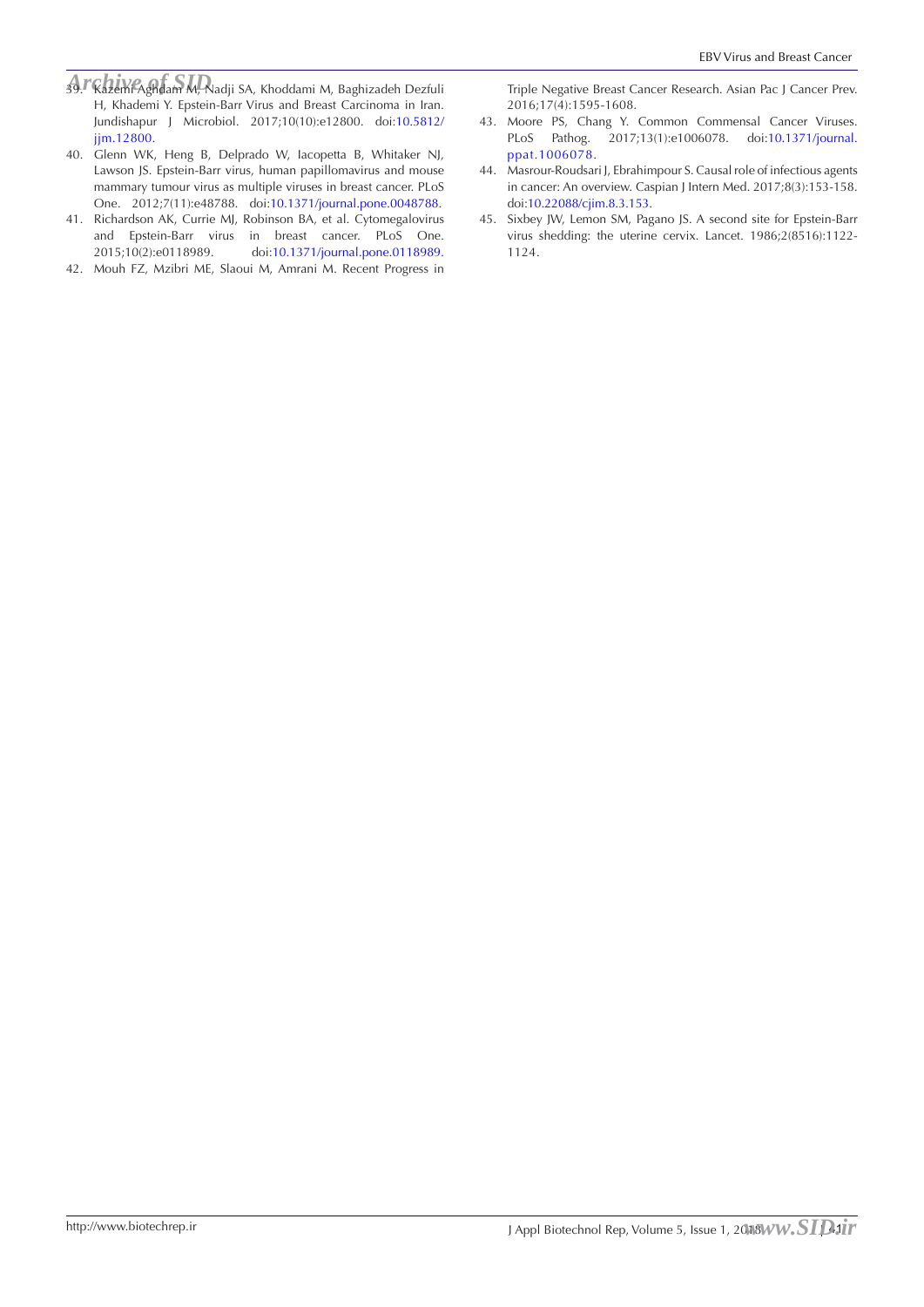- *Archive of SID* 39. Kazemi Aghdam M, Nadji SA, Khoddami M, Baghizadeh Dezfuli H, Khademi Y. Epstein-Barr Virus and Breast Carcinoma in Iran. Jundishapur J Microbiol. 2017;10(10):e12800. doi[:10.5812/](https://doi.org/10.5812/jjm.12800) [jjm.12800](https://doi.org/10.5812/jjm.12800).
- 40. Glenn WK, Heng B, Delprado W, Iacopetta B, Whitaker NJ, Lawson JS. Epstein-Barr virus, human papillomavirus and mouse mammary tumour virus as multiple viruses in breast cancer. PLoS One. 2012;7(11):e48788. doi[:10.1371/journal.pone.0048788.](https://doi.org/10.1371/journal.pone.0048788)
- 41. Richardson AK, Currie MJ, Robinson BA, et al. Cytomegalovirus and Epstein-Barr virus in breast cancer. PLoS One. 2015;10(2):e0118989. doi:[10.1371/journal.pone.0118989](https://doi.org/10.1371/journal.pone.0118989).
- 42. Mouh FZ, Mzibri ME, Slaoui M, Amrani M. Recent Progress in

Triple Negative Breast Cancer Research. Asian Pac J Cancer Prev. 2016;17(4):1595-1608.

- 43. Moore PS, Chang Y. Common Commensal Cancer Viruses. PLoS Pathog. 2017;13(1):e1006078. doi:[10.1371/journal.](https://doi.org/10.1371/journal.ppat.1006078) [ppat.1006078](https://doi.org/10.1371/journal.ppat.1006078).
- 44. Masrour-Roudsari J, Ebrahimpour S. Causal role of infectious agents in cancer: An overview. Caspian J Intern Med. 2017;8(3):153-158. doi[:10.22088/cjim.8.3.153](https://doi.org/10.22088/cjim.8.3.153).
- 45. Sixbey JW, Lemon SM, Pagano JS. A second site for Epstein-Barr virus shedding: the uterine cervix. Lancet. 1986;2(8516):1122- 1124.